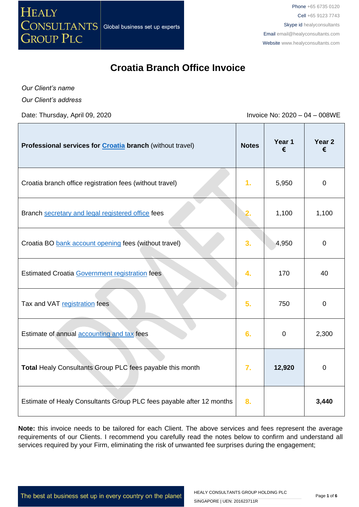

# **Croatia Branch Office Invoice**

*Our Client's name*

*Our Client's address*

Date: Thursday, April 09, 2020 **Invoice No: 2020 – 04 – 008WE** 

| Professional services for <b>Croatia</b> branch (without travel)     | <b>Notes</b>     | Year 1<br>€ | Year <sub>2</sub><br>€ |
|----------------------------------------------------------------------|------------------|-------------|------------------------|
| Croatia branch office registration fees (without travel)             | 1.               | 5,950       | $\mathbf 0$            |
| Branch secretary and legal registered office fees                    |                  | 1,100       | 1,100                  |
| Croatia BO bank account opening fees (without travel)                | 3.               | 4,950       | $\mathbf 0$            |
| <b>Estimated Croatia Government registration fees</b>                | 4.               | 170         | 40                     |
| Tax and VAT registration fees                                        | 5 <sub>1</sub>   | 750         | $\mathbf 0$            |
| Estimate of annual accounting and tax fees                           | 6.               | $\mathbf 0$ | 2,300                  |
| Total Healy Consultants Group PLC fees payable this month            | $\overline{7}$ . | 12,920      | $\mathbf 0$            |
| Estimate of Healy Consultants Group PLC fees payable after 12 months | 8.               |             | 3,440                  |

**Note:** this invoice needs to be tailored for each Client. The above services and fees represent the average requirements of our Clients. I recommend you carefully read the notes below to confirm and understand all services required by your Firm, eliminating the risk of unwanted fee surprises during the engagement;

The best at business set up in every country on the planet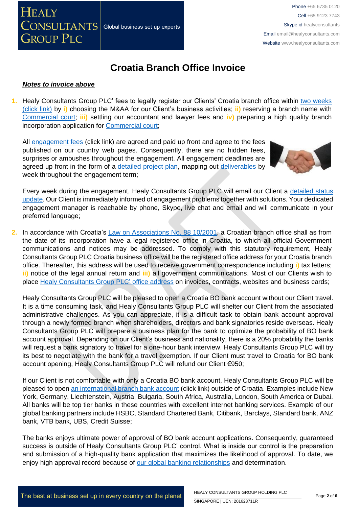

# **Croatia Branch Office Invoice**

#### *Notes to invoice above*

**1.** Healy Consultants Group PLC' fees to legally register our Clients' Croatia branch office within [two weeks](http://www.healyconsultants.com/croatia-company-registration/fees-timelines/#timelines)  [\(click link\)](http://www.healyconsultants.com/croatia-company-registration/fees-timelines/#timelines) by **i)** choosing the M&AA for our Client's business activities; **ii)** reserving a branch name with [Commercial court;](http://www.vsrh.hr/EasyWeb.asp?pcpid=282) **iii)** settling our accountant and lawyer fees and **iv)** preparing a high quality branch incorporation application for [Commercial court;](http://www.vsrh.hr/EasyWeb.asp?pcpid=282)

All [engagement fees](http://www.healyconsultants.com/company-registration-fees/) (click link) are agreed and paid up front and agree to the fees published on our country web pages. Consequently, there are no hidden fees, surprises or ambushes throughout the engagement. All engagement deadlines are agreed up front in the form of a [detailed project plan,](http://www.healyconsultants.com/index-important-links/example-project-plan/) mapping out [deliverables](http://www.healyconsultants.com/deliverables-to-our-clients/) by week throughout the engagement term;



Every week during the engagement, Healy Consultants Group PLC will email our Client a detailed status [update.](http://www.healyconsultants.com/index-important-links/weekly-engagement-status-email/) Our Client is immediately informed of engagement problems together with solutions. Your dedicated engagement manager is reachable by phone, Skype, live chat and email and will communicate in your preferred language;

**2.** In accordance with Croatia's [Law on Associations No. 88 10/2001,](http://www.legislationline.org/documents/action/popup/id/5882) a Croatian branch office shall as from the date of its incorporation have a legal registered office in Croatia, to which all official Government communications and notices may be addressed. To comply with this statutory requirement, Healy Consultants Group PLC Croatia business office will be the registered office address for your Croatia branch office. Thereafter, this address will be used to receive government correspondence including **i)** tax letters; **ii)** notice of the legal annual return and **iii)** all government communications. Most of our Clients wish to place [Healy Consultants Group PLC'](http://www.healyconsultants.com/corporate-outsourcing-services/company-secretary-and-legal-registered-office/) office address on invoices, contracts, websites and business cards;

Healy Consultants Group PLC will be pleased to open a Croatia BO bank account without our Client travel. It is a time consuming task, and Healy Consultants Group PLC will shelter our Client from the associated administrative challenges. As you can appreciate, it is a difficult task to obtain bank account approval through a newly formed branch when shareholders, directors and bank signatories reside overseas. Healy Consultants Group PLC will prepare a business plan for the bank to optimize the probability of BO bank account approval. Depending on our Client's business and nationality, there is a 20% probability the banks will request a bank signatory to travel for a one-hour bank interview. Healy Consultants Group PLC will try its best to negotiate with the bank for a travel exemption. If our Client must travel to Croatia for BO bank account opening, Healy Consultants Group PLC will refund our Client €950;

If our Client is not comfortable with only a Croatia BO bank account, Healy Consultants Group PLC will be pleased to open [an international branch](http://www.healyconsultants.com/international-banking/) bank account (click link) outside of Croatia. Examples include New York, Germany, Liechtenstein, Austria, Bulgaria, South Africa, Australia, London, South America or Dubai. All banks will be top tier banks in these countries with excellent internet banking services. Example of our global banking partners include HSBC, Standard Chartered Bank, Citibank, Barclays, Standard bank, ANZ bank, VTB bank, UBS, Credit Suisse;

The banks enjoys ultimate power of approval of BO bank account applications. Consequently, guaranteed success is outside of Healy Consultants Group PLC' control. What is inside our control is the preparation and submission of a high-quality bank application that maximizes the likelihood of approval. To date, we enjoy high approval record because of [our global banking relationships](http://www.healyconsultants.com/international-banking/corporate-accounts/) and determination.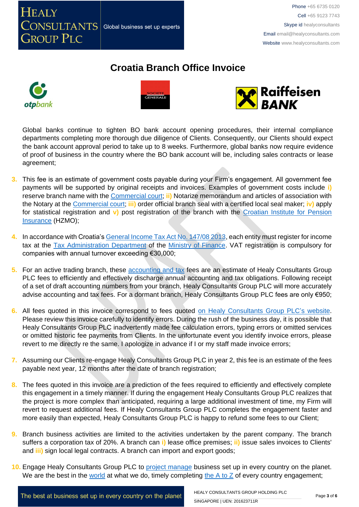

# **Croatia Branch Office Invoice**







Global banks continue to tighten BO bank account opening procedures, their internal compliance departments completing more thorough due diligence of Clients. Consequently, our Clients should expect the bank account approval period to take up to 8 weeks. Furthermore, global banks now require evidence of proof of business in the country where the BO bank account will be, including sales contracts or lease agreement;

- **3.** This fee is an estimate of government costs payable during your Firm's engagement. All government fee payments will be supported by original receipts and invoices. Examples of government costs include **i)**  reserve branch name with the [Commercial court;](http://www.vsrh.hr/EasyWeb.asp?pcpid=282) **ii)** Notarize memorandum and articles of association with the Notary at the [Commercial court;](http://www.vsrh.hr/EasyWeb.asp?pcpid=282) **iii)** order official branch seal with a certified local seal maker; **iv)** apply for statistical registration and **v)** post registration of the branch with the [Croatian Institute for Pension](http://www.mirovinsko.hr/)  [Insurance](http://www.mirovinsko.hr/) (HZMO);
- **4.** In accordance with Croatia'[s General Income Tax Act No. 147/08 2013,](http://www.porezna-uprava.hr/en_propisi/_layouts/in2.vuk.sp.propisi.intranet/propisi.aspx#id=pro117) each entity must register for income tax at the [Tax Administration Department](http://www.porezna-uprava.hr/Stranice/Naslovnica.aspx) of the [Ministry of Finance.](http://www.mfin.hr/en) VAT registration is compulsory for companies with annual turnover exceeding €30,000;
- **5.** For an active trading branch, these [accounting and tax](http://www.healyconsultants.com/croatia-company-registration/accounting-legal/) fees are an estimate of Healy Consultants Group PLC fees to efficiently and effectively discharge annual accounting and tax obligations. Following receipt of a set of draft accounting numbers from your branch, Healy Consultants Group PLC will more accurately advise accounting and tax fees. For a dormant branch, Healy Consultants Group PLC fees are only €950;
- **6.** All fees quoted in this invoice correspond to fees quoted [on Healy Consultants Group PLC's](http://www.healyconsultants.com/company-registration-fees/) website. Please review this invoice carefully to identify errors. During the rush of the business day, it is possible that Healy Consultants Group PLC inadvertently made fee calculation errors, typing errors or omitted services or omitted historic fee payments from Clients. In the unfortunate event you identify invoice errors, please revert to me directly re the same. I apologize in advance if I or my staff made invoice errors;
- **7.** Assuming our Clients re-engage Healy Consultants Group PLC in year 2, this fee is an estimate of the fees payable next year, 12 months after the date of branch registration;
- **8.** The fees quoted in this invoice are a prediction of the fees required to efficiently and effectively complete this engagement in a timely manner. If during the engagement Healy Consultants Group PLC realizes that the project is more complex than anticipated, requiring a large additional investment of time, my Firm will revert to request additional fees. If Healy Consultants Group PLC completes the engagement faster and more easily than expected, Healy Consultants Group PLC is happy to refund some fees to our Client;
- **9.** Branch business activities are limited to the activities undertaken by the parent company. The branch suffers a corporation tax of 20%. A branch can **i)** lease office premises; **ii)** issue sales invoices to Clients' and **iii)** sign local legal contracts. A branch can import and export goods;
- **10.** Engage Healy Consultants Group PLC to [project manage](http://www.healyconsultants.com/project-manage-engagements/) business set up in every country on the planet. We are the best in the [world](http://www.healyconsultants.com/best-in-the-world/) at what we do, timely completing the  $A$  to  $Z$  of every country engagement;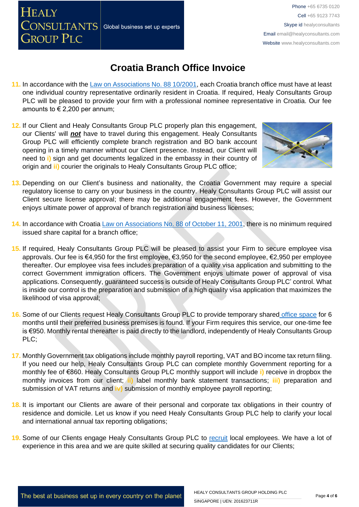Phone +65 6735 0120 Cell +65 9123 7743 Skype id healyconsultants Email [email@healyconsultants.com](mailto:EMAIL@HEALYCONSULTANTS.COM) Website [www.healyconsultants.com](http://www.healyconsultants.com/)

## **Croatia Branch Office Invoice**

- **11.** In accordance with the [Law on Associations No. 88 10/2001,](http://www.legislationline.org/documents/action/popup/id/5882) each Croatia branch office must have at least one individual country representative ordinarily resident in Croatia. If required, Healy Consultants Group PLC will be pleased to provide your firm with a professional nominee representative in Croatia. Our fee amounts to  $\epsilon$  2,200 per annum;
- **12.** If our Client and Healy Consultants Group PLC properly plan this engagement, our Clients' will *not* have to travel during this engagement. Healy Consultants Group PLC will efficiently complete branch registration and BO bank account opening in a timely manner without our Client presence. Instead, our Client will need to **i)** sign and get documents legalized in the embassy in their country of origin and **ii)** courier the originals to Healy Consultants Group PLC office;

Global business set up experts

**HEALY** 

CONSULTANTS

**GROUP PLC** 



- **13.** Depending on our Client's business and nationality, the Croatia Government may require a special regulatory license to carry on your business in the country. Healy Consultants Group PLC will assist our Client secure license approval; there may be additional engagement fees. However, the Government enjoys ultimate power of approval of branch registration and business licenses;
- **14.** In accordance with Croatia [Law on Associations No. 88 of October 11, 2001,](http://www.legislationline.org/documents/action/popup/id/5882) there is no minimum required issued share capital for a branch office;
- **15.** If required, Healy Consultants Group PLC will be pleased to assist your Firm to secure employee visa approvals. Our fee is €4,950 for the first employee, €3,950 for the second employee, €2,950 per employee thereafter. Our employee visa fees includes preparation of a quality visa application and submitting to the correct Government immigration officers. The Government enjoys ultimate power of approval of visa applications. Consequently, guaranteed success is outside of Healy Consultants Group PLC' control. What is inside our control is the preparation and submission of a high quality visa application that maximizes the likelihood of visa approval;
- **16.** Some of our Clients request Healy Consultants Group PLC to provide temporary shared [office space](http://www.healyconsultants.com/virtual-office/) for 6 months until their preferred business premises is found. If your Firm requires this service, our one-time fee is €950. Monthly rental thereafter is paid directly to the landlord, independently of Healy Consultants Group PLC;
- **17.** Monthly Government tax obligations include monthly payroll reporting, VAT and BO income tax return filing. If you need our help, Healy Consultants Group PLC can complete monthly Government reporting for a monthly fee of €860. Healy Consultants Group PLC monthly support will include **i)** receive in dropbox the monthly invoices from our client; **ii)** label monthly bank statement transactions; **iii)** preparation and submission of VAT returns and **iv)** submission of monthly employee payroll reporting;
- **18.** It is important our Clients are aware of their personal and corporate tax obligations in their country of residence and domicile. Let us know if you need Healy Consultants Group PLC help to clarify your local and international annual tax reporting obligations;
- 19. Some of our Clients engage Healy Consultants Group PLC to [recruit](http://www.healyconsultants.com/corporate-outsourcing-services/how-we-help-our-clients-recruit-quality-employees/) local employees. We have a lot of experience in this area and we are quite skilled at securing quality candidates for our Clients;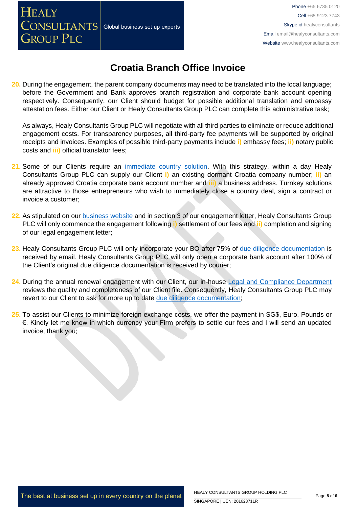## **HEALY** CONSULTANTS Global business set up experts **GROUP PLC**

## **Croatia Branch Office Invoice**

**20.** During the engagement, the parent company documents may need to be translated into the local language; before the Government and Bank approves branch registration and corporate bank account opening respectively. Consequently, our Client should budget for possible additional translation and embassy attestation fees. Either our Client or Healy Consultants Group PLC can complete this administrative task;

As always, Healy Consultants Group PLC will negotiate with all third parties to eliminate or reduce additional engagement costs. For transparency purposes, all third-party fee payments will be supported by original receipts and invoices. Examples of possible third-party payments include **i)** embassy fees; **ii)** notary public costs and **iii)** official translator fees;

- **21.** Some of our Clients require an [immediate country solution.](http://www.healyconsultants.com/turnkey-solutions/) With this strategy, within a day Healy Consultants Group PLC can supply our Client **i)** an existing dormant Croatia company number; **ii)** an already approved Croatia corporate bank account number and **iii)** a business address. Turnkey solutions are attractive to those entrepreneurs who wish to immediately close a country deal, sign a contract or invoice a customer;
- **22.** As stipulated on our [business website](http://www.healyconsultants.com/) and in section 3 of our engagement letter, Healy Consultants Group PLC will only commence the engagement following **i)** settlement of our fees and **ii)** completion and signing of our legal engagement letter;
- **23.** Healy Consultants Group PLC will only incorporate your BO after 75% of [due diligence documentation](http://www.healyconsultants.com/due-diligence/) is received by email. Healy Consultants Group PLC will only open a corporate bank account after 100% of the Client's original due diligence documentation is received by courier;
- **24.** During the annual renewal engagement with our Client, our in-house [Legal and Compliance Department](http://www.healyconsultants.com/about-us/key-personnel/cai-xin-profile/) reviews the quality and completeness of our Client file. Consequently, Healy Consultants Group PLC may revert to our Client to ask for more up to date [due diligence documentation;](http://www.healyconsultants.com/due-diligence/)
- **25.** To assist our Clients to minimize foreign exchange costs, we offer the payment in SG\$, Euro, Pounds or €. Kindly let me know in which currency your Firm prefers to settle our fees and I will send an updated invoice, thank you;

The best at business set up in every country on the planet